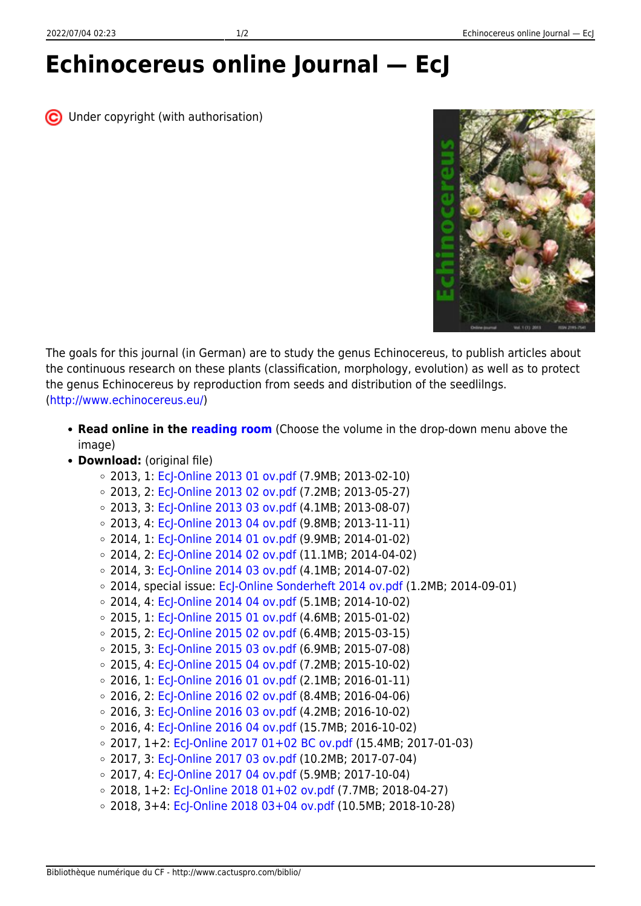## **Echinocereus online Journal — EcJ**

C Under copyright (with authorisation)



The goals for this journal (in German) are to study the genus Echinocereus, to publish articles about the continuous research on these plants (classification, morphology, evolution) as well as to protect the genus Echinocereus by reproduction from seeds and distribution of the seedlilngs. [\(http://www.echinocereus.eu/\)](http://www.echinocereus.eu/)

**Read online in the [reading room](https://www.cactuspro.com/lecture/EcJ/EcJ-2013-1/page-1.en.html)** (Choose the volume in the drop-down menu above the image)

## **Download:** (original file)

- 2013, 1: [EcJ-Online 2013 01 ov.pdf](http://www.echinocereus.eu/Publikationen/Journal/EcJ-Online 2013 01 ov.pdf) (7.9MB; 2013-02-10)
- 2013, 2: [EcJ-Online 2013 02 ov.pdf](http://www.echinocereus.eu/Publikationen/Journal/EcJ-Online 2013 02 ov.pdf) (7.2MB; 2013-05-27)
- $\circ$  2013, 3: [EcJ-Online 2013 03 ov.pdf](http://www.echinocereus.eu/Publikationen/Journal/EcJ-Online 2013 03 ov.pdf) (4.1MB; 2013-08-07)
- 2013, 4: [EcJ-Online 2013 04 ov.pdf](http://www.echinocereus.eu/Publikationen/Journal/EcJ-Online 2013 04 ov.pdf) (9.8MB; 2013-11-11)
- $\circ$  2014, 1: [EcJ-Online 2014 01 ov.pdf](http://www.echinocereus.eu/Publikationen/Journal/EcJ-Online 2014 01 ov.pdf) (9.9MB; 2014-01-02)
- $\circ$  2014, 2: Ecl-Online 2014 02 ov.pdf (11.1MB; 2014-04-02)
- $\circ$  2014, 3: [EcJ-Online 2014 03 ov.pdf](http://www.echinocereus.eu/Publikationen/Journal/EcJ-Online 2014 03 ov.pdf) (4.1MB; 2014-07-02)
- $\circ$  2014, special issue: [EcJ-Online Sonderheft 2014 ov.pdf](http://www.echinocereus.eu/Publikationen/Journal/EcJ-Online Sonderheft 2014 ov.pdf) (1.2MB; 2014-09-01)
- $\circ$  2014, 4: [EcJ-Online 2014 04 ov.pdf](http://www.echinocereus.eu/Publikationen/Journal/EcJ-Online 2014 04 ov.pdf) (5.1MB; 2014-10-02)
- 2015, 1: [EcJ-Online 2015 01 ov.pdf](http://www.echinocereus.eu/Publikationen/Journal/EcJ-Online 2015 01 ov.pdf) (4.6MB; 2015-01-02)
- 2015, 2: [EcJ-Online 2015 02 ov.pdf](http://www.echinocereus.eu/Publikationen/Journal/EcJ-Online 2015 02 ov.pdf) (6.4MB; 2015-03-15)
- $\circ$  2015, 3: [EcJ-Online 2015 03 ov.pdf](http://www.echinocereus.eu/Publikationen/Journal/EcJ-Online 2015 03 ov.pdf) (6.9MB; 2015-07-08)
- 2015, 4: [EcJ-Online 2015 04 ov.pdf](http://www.echinocereus.eu/Publikationen/Journal/EcJ-Online 2015 04 ov.pdf) (7.2MB; 2015-10-02)
- $\circ$  2016, 1: [EcJ-Online 2016 01 ov.pdf](http://www.echinocereus.eu/Publikationen/Journal/EcJ-Online 2016 01 ov.pdf) (2.1MB; 2016-01-11)
- $\circ$  2016, 2: [EcJ-Online 2016 02 ov.pdf](http://www.echinocereus.eu/Publikationen/Journal/EcJ-Online 2016 02 ov.pdf) (8.4MB; 2016-04-06)
- 2016, 3: [EcJ-Online 2016 03 ov.pdf](http://www.echinocereus.eu/Publikationen/Journal/EcJ-Online 2016 03 ov.pdf) (4.2MB; 2016-10-02)
- $\circ$  2016, 4: [EcJ-Online 2016 04 ov.pdf](http://www.echinocereus.eu/Publikationen/Journal/EcJ-Online 2016 04 ov.pdf) (15.7MB; 2016-10-02)
- $\circ$  2017, 1+2: [EcJ-Online 2017 01+02 BC ov.pdf](http://www.echinocereus.eu/Publikationen/Journal/EcJ-Online 2017 01+02 BC ov.pdf) (15.4MB; 2017-01-03)
- 2017, 3: [EcJ-Online 2017 03 ov.pdf](http://www.echinocereus.eu/Publikationen/Journal/EcJ-Online 2017 03 ov.pdf) (10.2MB; 2017-07-04)
- $\circ$  2017, 4: [EcJ-Online 2017 04 ov.pdf](http://www.echinocereus.eu/Publikationen/Journal/EcJ-Online 2017 04 ov.pdf) (5.9MB; 2017-10-04)
- $\circ$  2018, 1+2: [EcJ-Online 2018 01+02 ov.pdf](http://www.echinocereus.eu/Publikationen/Journal/EcJ-Online%202018%2001+02%20ov.pdf) (7.7MB; 2018-04-27)
- $\circ$  2018, 3+4: [EcJ-Online 2018 03+04 ov.pdf](http://www.echinocereus.eu/Publikationen/Journal/EcJ-Online%202018%2003+04%20ov.pdf) (10.5MB; 2018-10-28)